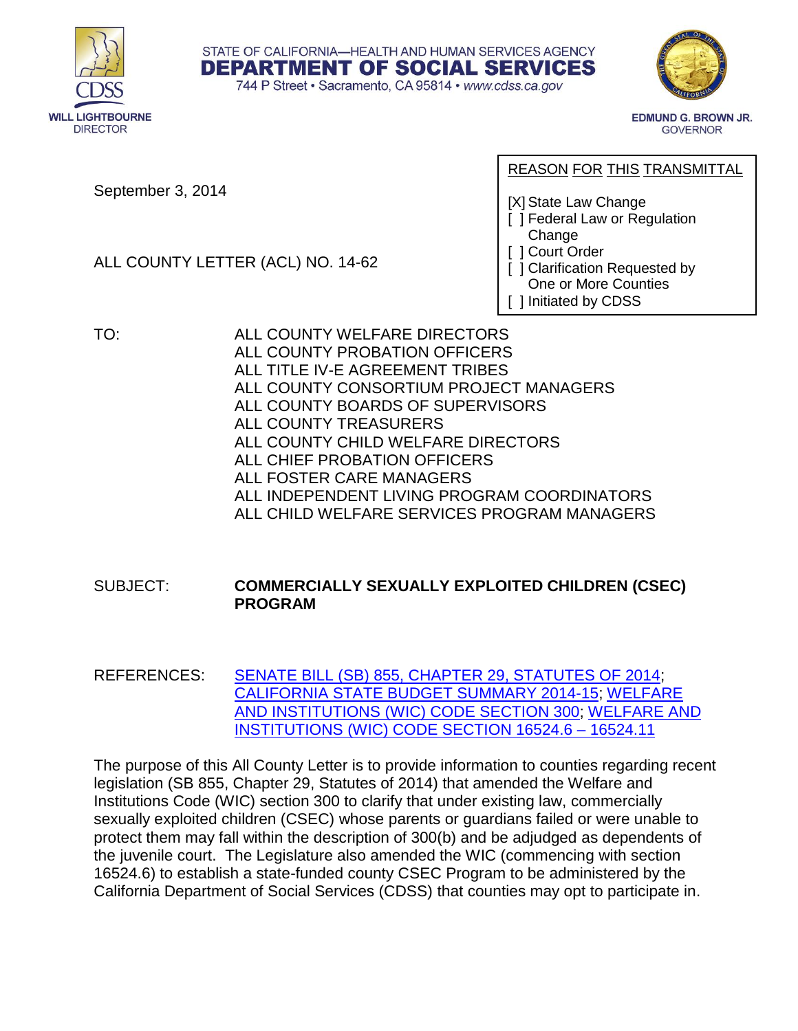



**EDMUND G. BROWN JR. GOVERNOR** 

September 3, 2014

ALL COUNTY LETTER (ACL) NO. 14-62

## REASON FOR THIS TRANSMITTAL

[X] State Law Change

- [ ] Federal Law or Regulation Change
- [ ] Court Order
- [ ] Clarification Requested by
- One or More Counties
- [ ] Initiated by CDSS
- TO: ALL COUNTY WELFARE DIRECTORS ALL COUNTY PROBATION OFFICERS ALL TITLE IV-E AGREEMENT TRIBES ALL COUNTY CONSORTIUM PROJECT MANAGERS ALL COUNTY BOARDS OF SUPERVISORS ALL COUNTY TREASURERS ALL COUNTY CHILD WELFARE DIRECTORS ALL CHIEF PROBATION OFFICERS ALL FOSTER CARE MANAGERS

STATE OF CALIFORNIA-HEALTH AND HUMAN SERVICES AGENCY **DEPARTMENT OF SOCIAL SERVICES** 744 P Street · Sacramento, CA 95814 · www.cdss.ca.gov

- ALL INDEPENDENT LIVING PROGRAM COORDINATORS
- ALL CHILD WELFARE SERVICES PROGRAM MANAGERS

## SUBJECT: **COMMERCIALLY SEXUALLY EXPLOITED CHILDREN (CSEC) PROGRAM**

REFERENCES: [SENATE BILL \(SB\) 855, CHAPTER 29, STATUTES OF 2014;](http://leginfo.legislature.ca.gov/faces/billNavClient.xhtml?bill_id=201320140SB855&search_keywords=) [CALIFORNIA STATE BUDGET](http://www.ebudget.ca.gov/2014-15/pdf/Enacted/BudgetSummary/FullBudgetSummary.pdf) SUMMARY 2014-15; [WELFARE](http://www.leginfo.ca.gov/cgi-bin/displaycode?section=wic&group=00001-01000&file=300-304.7)  AND INSTITUTIONS (WIC) [CODE SECTION 300;](http://www.leginfo.ca.gov/cgi-bin/displaycode?section=wic&group=00001-01000&file=300-304.7) [WELFARE AND](http://www.leginfo.ca.gov/cgi-bin/displaycode?section=wic&group=16001-17000&file=16524.6-16524.11)  [INSTITUTIONS \(WIC\) CODE SECTION 16524.6 –](http://www.leginfo.ca.gov/cgi-bin/displaycode?section=wic&group=16001-17000&file=16524.6-16524.11) 16524.11

The purpose of this All County Letter is to provide information to counties regarding recent legislation (SB 855, Chapter 29, Statutes of 2014) that amended the Welfare and Institutions Code (WIC) section 300 to clarify that under existing law, commercially sexually exploited children (CSEC) whose parents or guardians failed or were unable to protect them may fall within the description of 300(b) and be adjudged as dependents of the juvenile court. The Legislature also amended the WIC (commencing with section 16524.6) to establish a state-funded county CSEC Program to be administered by the California Department of Social Services (CDSS) that counties may opt to participate in.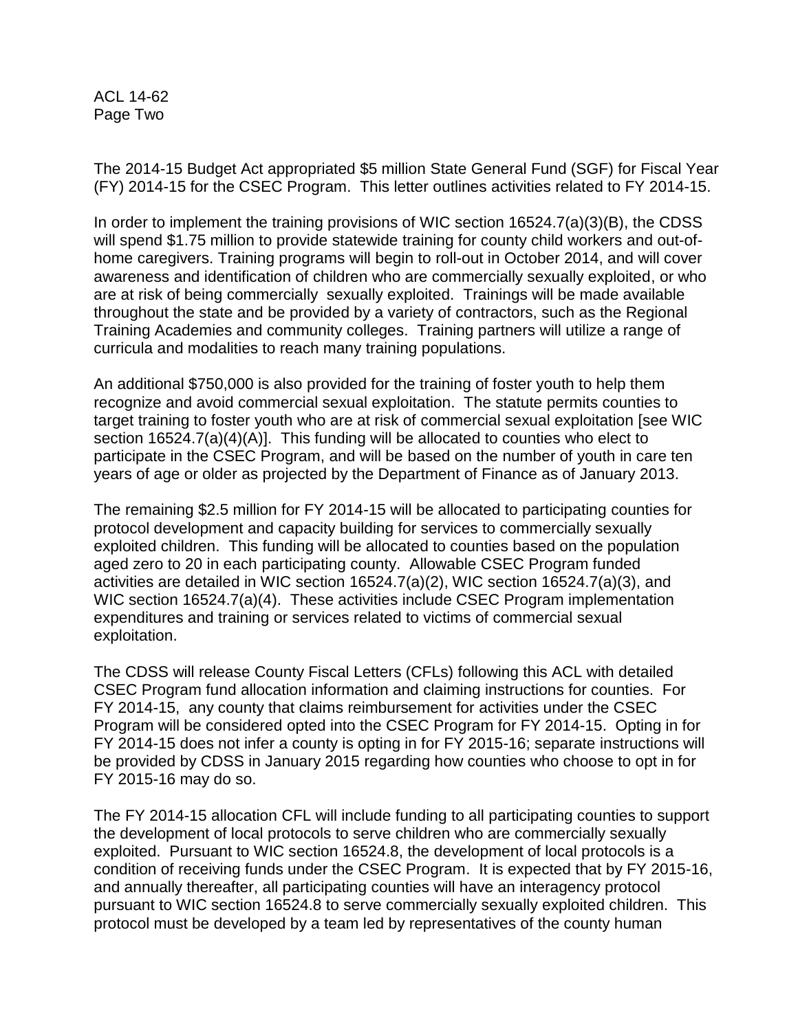ACL 14-62 Page Two

The 2014-15 Budget Act appropriated \$5 million State General Fund (SGF) for Fiscal Year (FY) 2014-15 for the CSEC Program. This letter outlines activities related to FY 2014-15.

In order to implement the training provisions of WIC section 16524.7(a)(3)(B), the CDSS will spend \$1.75 million to provide statewide training for county child workers and out-ofhome caregivers. Training programs will begin to roll-out in October 2014, and will cover awareness and identification of children who are commercially sexually exploited, or who are at risk of being commercially sexually exploited. Trainings will be made available throughout the state and be provided by a variety of contractors, such as the Regional Training Academies and community colleges. Training partners will utilize a range of curricula and modalities to reach many training populations.

An additional \$750,000 is also provided for the training of foster youth to help them recognize and avoid commercial sexual exploitation. The statute permits counties to target training to foster youth who are at risk of commercial sexual exploitation [see WIC section 16524.7(a)(4)(A)]. This funding will be allocated to counties who elect to participate in the CSEC Program, and will be based on the number of youth in care ten years of age or older as projected by the Department of Finance as of January 2013.

The remaining \$2.5 million for FY 2014-15 will be allocated to participating counties for protocol development and capacity building for services to commercially sexually exploited children. This funding will be allocated to counties based on the population aged zero to 20 in each participating county. Allowable CSEC Program funded activities are detailed in WIC section 16524.7(a)(2), WIC section 16524.7(a)(3), and WIC section 16524.7(a)(4). These activities include CSEC Program implementation expenditures and training or services related to victims of commercial sexual exploitation.

The CDSS will release County Fiscal Letters (CFLs) following this ACL with detailed CSEC Program fund allocation information and claiming instructions for counties. For FY 2014-15, any county that claims reimbursement for activities under the CSEC Program will be considered opted into the CSEC Program for FY 2014-15. Opting in for FY 2014-15 does not infer a county is opting in for FY 2015-16; separate instructions will be provided by CDSS in January 2015 regarding how counties who choose to opt in for FY 2015-16 may do so.

The FY 2014-15 allocation CFL will include funding to all participating counties to support the development of local protocols to serve children who are commercially sexually exploited. Pursuant to WIC section 16524.8, the development of local protocols is a condition of receiving funds under the CSEC Program. It is expected that by FY 2015-16, and annually thereafter, all participating counties will have an interagency protocol pursuant to WIC section 16524.8 to serve commercially sexually exploited children. This protocol must be developed by a team led by representatives of the county human